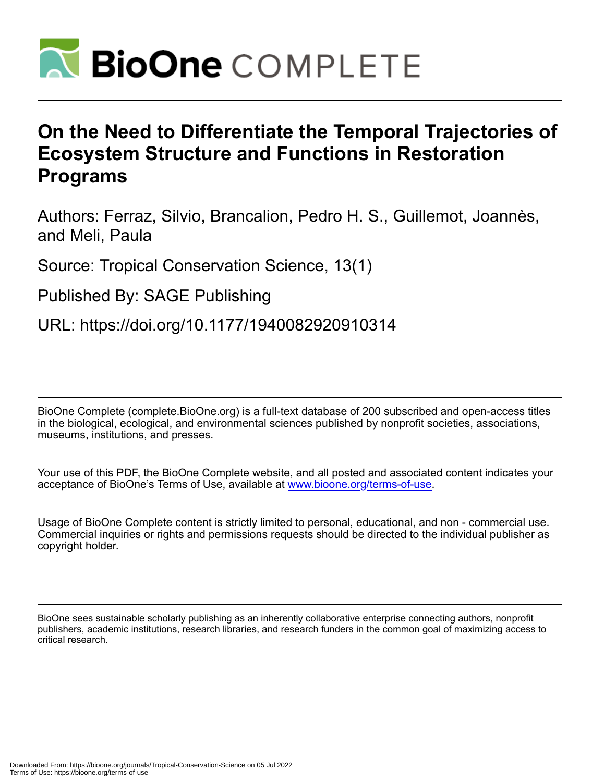

# **On the Need to Differentiate the Temporal Trajectories of Ecosystem Structure and Functions in Restoration Programs**

Authors: Ferraz, Silvio, Brancalion, Pedro H. S., Guillemot, Joannès, and Meli, Paula

Source: Tropical Conservation Science, 13(1)

Published By: SAGE Publishing

URL: https://doi.org/10.1177/1940082920910314

BioOne Complete (complete.BioOne.org) is a full-text database of 200 subscribed and open-access titles in the biological, ecological, and environmental sciences published by nonprofit societies, associations, museums, institutions, and presses.

Your use of this PDF, the BioOne Complete website, and all posted and associated content indicates your acceptance of BioOne's Terms of Use, available at www.bioone.org/terms-of-use.

Usage of BioOne Complete content is strictly limited to personal, educational, and non - commercial use. Commercial inquiries or rights and permissions requests should be directed to the individual publisher as copyright holder.

BioOne sees sustainable scholarly publishing as an inherently collaborative enterprise connecting authors, nonprofit publishers, academic institutions, research libraries, and research funders in the common goal of maximizing access to critical research.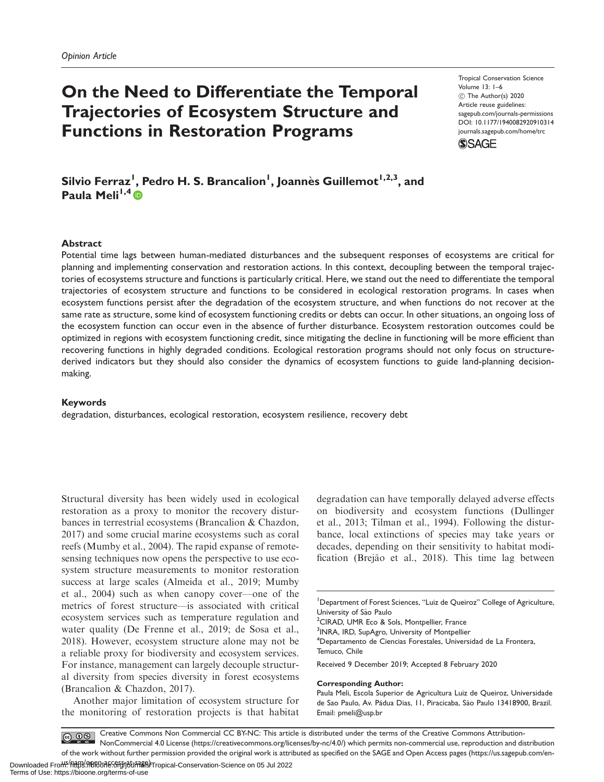## On the Need to Differentiate the Temporal Trajectories of Ecosystem Structure and Functions in Restoration Programs

Tropical Conservation Science Volume 13: 1–6 C The Author(s) 2020 Article reuse guidelines: [sagepub.com/journals-permissions](http://us.sagepub.com/en-us/journals-permissions) [DOI: 10.1177/1940082920910314](http://dx.doi.org/10.1177/1940082920910314) <journals.sagepub.com/home/trc>



Silvio Ferraz<sup>I</sup>, Pedro H. S. Brancalion<sup>I</sup>, Joannès Guillemot<sup>I,2,3</sup>, and Paula Meli<sup>1,4</sup> $\bullet$ 

## **Abstract**

Potential time lags between human-mediated disturbances and the subsequent responses of ecosystems are critical for planning and implementing conservation and restoration actions. In this context, decoupling between the temporal trajectories of ecosystems structure and functions is particularly critical. Here, we stand out the need to differentiate the temporal trajectories of ecosystem structure and functions to be considered in ecological restoration programs. In cases when ecosystem functions persist after the degradation of the ecosystem structure, and when functions do not recover at the same rate as structure, some kind of ecosystem functioning credits or debts can occur. In other situations, an ongoing loss of the ecosystem function can occur even in the absence of further disturbance. Ecosystem restoration outcomes could be optimized in regions with ecosystem functioning credit, since mitigating the decline in functioning will be more efficient than recovering functions in highly degraded conditions. Ecological restoration programs should not only focus on structurederived indicators but they should also consider the dynamics of ecosystem functions to guide land-planning decisionmaking.

### Keywords

degradation, disturbances, ecological restoration, ecosystem resilience, recovery debt

Structural diversity has been widely used in ecological restoration as a proxy to monitor the recovery disturbances in terrestrial ecosystems (Brancalion & Chazdon, 2017) and some crucial marine ecosystems such as coral reefs (Mumby et al., 2004). The rapid expanse of remotesensing techniques now opens the perspective to use ecosystem structure measurements to monitor restoration success at large scales (Almeida et al., 2019; Mumby et al., 2004) such as when canopy cover—one of the metrics of forest structure—is associated with critical ecosystem services such as temperature regulation and water quality (De Frenne et al., 2019; de Sosa et al., 2018). However, ecosystem structure alone may not be a reliable proxy for biodiversity and ecosystem services. For instance, management can largely decouple structural diversity from species diversity in forest ecosystems (Brancalion & Chazdon, 2017).

Another major limitation of ecosystem structure for the monitoring of restoration projects is that habitat degradation can have temporally delayed adverse effects on biodiversity and ecosystem functions (Dullinger et al., 2013; Tilman et al., 1994). Following the disturbance, local extinctions of species may take years or decades, depending on their sensitivity to habitat modification (Brejão et al., 2018). This time lag between

<sup>1</sup>Department of Forest Sciences, "Luiz de Queiroz" College of Agriculture, University of São Paulo

<sup>2</sup>CIRAD, UMR Eco & Sols, Montpellier, France

<sup>3</sup>INRA, IRD, SupAgro, University of Montpellier

<sup>4</sup>Departamento de Ciencias Forestales, Universidad de La Frontera, Temuco, Chile

Received 9 December 2019; Accepted 8 February 2020

#### Corresponding Author:

Creative Commons Non Commercial CC BY-NC: This article is distributed under the terms of the Creative Commons Attribution- $\circ$   $\circ$ NonCommercial 4.0 License (https://creativecommons.org/licenses/by-nc/4.0/) which permits non-commercial use, reproduction and distribution of the work without further permission provided the original work is attributed as specified on the SAGE and Open Access pages (https://us.sagepub.com/en-

Paula Meli, Escola Superior de Agricultura Luiz de Queiroz, Universidade de Sao Paulo, Av. Pádua Dias, 11, Piracicaba, São Paulo 13418900, Brazil. Email: [pmeli@usp.br](mailto:pmeli@usp.br)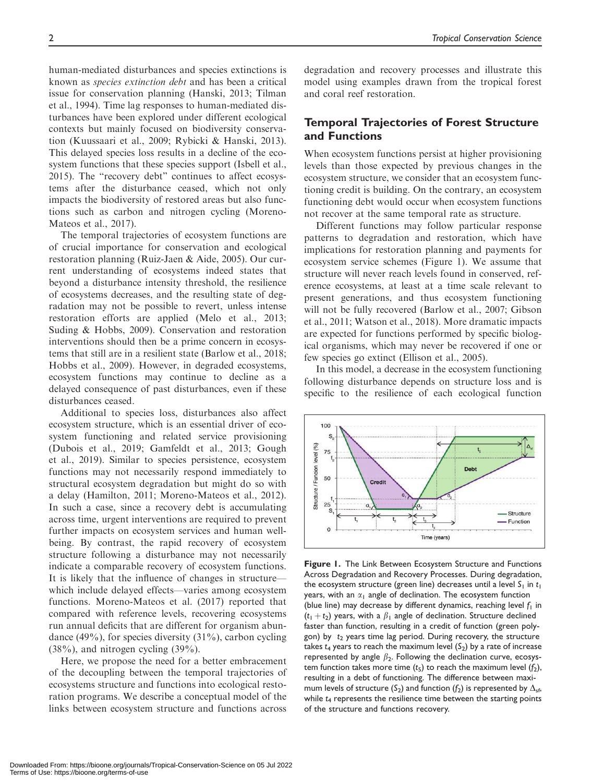human-mediated disturbances and species extinctions is known as species extinction debt and has been a critical issue for conservation planning (Hanski, 2013; Tilman et al., 1994). Time lag responses to human-mediated disturbances have been explored under different ecological contexts but mainly focused on biodiversity conservation (Kuussaari et al., 2009; Rybicki & Hanski, 2013). This delayed species loss results in a decline of the ecosystem functions that these species support (Isbell et al., 2015). The "recovery debt" continues to affect ecosystems after the disturbance ceased, which not only impacts the biodiversity of restored areas but also functions such as carbon and nitrogen cycling (Moreno-Mateos et al., 2017).

The temporal trajectories of ecosystem functions are of crucial importance for conservation and ecological restoration planning (Ruiz-Jaen & Aide, 2005). Our current understanding of ecosystems indeed states that beyond a disturbance intensity threshold, the resilience of ecosystems decreases, and the resulting state of degradation may not be possible to revert, unless intense restoration efforts are applied (Melo et al., 2013; Suding & Hobbs, 2009). Conservation and restoration interventions should then be a prime concern in ecosystems that still are in a resilient state (Barlow et al., 2018; Hobbs et al., 2009). However, in degraded ecosystems, ecosystem functions may continue to decline as a delayed consequence of past disturbances, even if these disturbances ceased.

Additional to species loss, disturbances also affect ecosystem structure, which is an essential driver of ecosystem functioning and related service provisioning (Dubois et al., 2019; Gamfeldt et al., 2013; Gough et al., 2019). Similar to species persistence, ecosystem functions may not necessarily respond immediately to structural ecosystem degradation but might do so with a delay (Hamilton, 2011; Moreno-Mateos et al., 2012). In such a case, since a recovery debt is accumulating across time, urgent interventions are required to prevent further impacts on ecosystem services and human wellbeing. By contrast, the rapid recovery of ecosystem structure following a disturbance may not necessarily indicate a comparable recovery of ecosystem functions. It is likely that the influence of changes in structure which include delayed effects—varies among ecosystem functions. Moreno-Mateos et al. (2017) reported that compared with reference levels, recovering ecosystems run annual deficits that are different for organism abundance  $(49\%)$ , for species diversity  $(31\%)$ , carbon cycling  $(38\%)$ , and nitrogen cycling  $(39\%)$ .

Here, we propose the need for a better embracement of the decoupling between the temporal trajectories of ecosystems structure and functions into ecological restoration programs. We describe a conceptual model of the links between ecosystem structure and functions across

degradation and recovery processes and illustrate this model using examples drawn from the tropical forest and coral reef restoration.

## Temporal Trajectories of Forest Structure and Functions

When ecosystem functions persist at higher provisioning levels than those expected by previous changes in the ecosystem structure, we consider that an ecosystem functioning credit is building. On the contrary, an ecosystem functioning debt would occur when ecosystem functions not recover at the same temporal rate as structure.

Different functions may follow particular response patterns to degradation and restoration, which have implications for restoration planning and payments for ecosystem service schemes (Figure 1). We assume that structure will never reach levels found in conserved, reference ecosystems, at least at a time scale relevant to present generations, and thus ecosystem functioning will not be fully recovered (Barlow et al., 2007; Gibson et al., 2011; Watson et al., 2018). More dramatic impacts are expected for functions performed by specific biological organisms, which may never be recovered if one or few species go extinct (Ellison et al., 2005).

In this model, a decrease in the ecosystem functioning following disturbance depends on structure loss and is specific to the resilience of each ecological function



Figure 1. The Link Between Ecosystem Structure and Functions Across Degradation and Recovery Processes. During degradation, the ecosystem structure (green line) decreases until a level  $S_1$  in  $t_1$ years, with an  $\alpha_1$  angle of declination. The ecosystem function (blue line) may decrease by different dynamics, reaching level  $f_1$  in  $(t_1 + t_2)$  years, with a  $\beta_1$  angle of declination. Structure declined faster than function, resulting in a credit of function (green polygon) by  $t_2$  years time lag period. During recovery, the structure takes  $t_4$  years to reach the maximum level  $(S_2)$  by a rate of increase represented by angle  $\beta_2$ . Following the declination curve, ecosystem function takes more time  $(t_5)$  to reach the maximum level  $(f_2)$ , resulting in a debt of functioning. The difference between maximum levels of structure (S<sub>2</sub>) and function (f<sub>2</sub>) is represented by  $\Delta_{\text{sf}}$ , while  $t_4$  represents the resilience time between the starting points of the structure and functions recovery.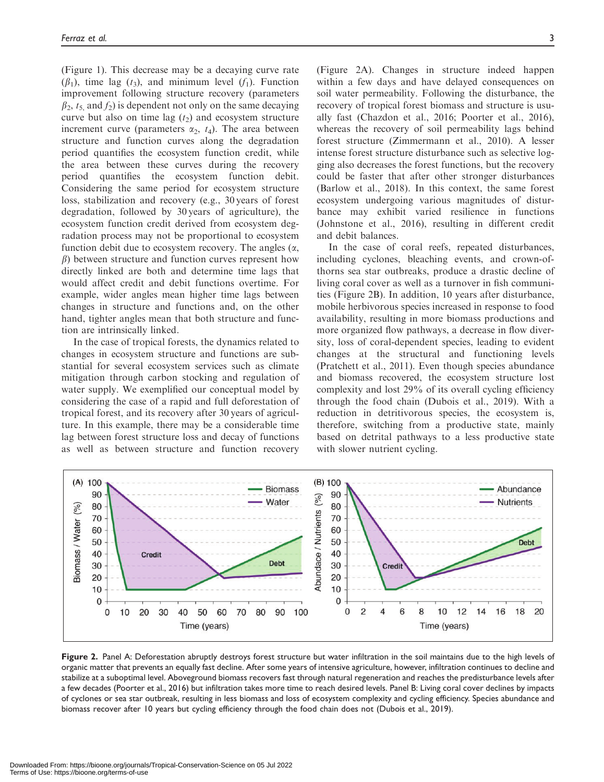(Figure 1). This decrease may be a decaying curve rate  $(\beta_1)$ , time lag  $(t_3)$ , and minimum level  $(f_1)$ . Function improvement following structure recovery (parameters  $\beta_2$ ,  $t_5$  and  $f_2$ ) is dependent not only on the same decaying curve but also on time lag  $(t_2)$  and ecosystem structure increment curve (parameters  $\alpha_2$ ,  $t_4$ ). The area between structure and function curves along the degradation period quantifies the ecosystem function credit, while the area between these curves during the recovery period quantifies the ecosystem function debit. Considering the same period for ecosystem structure loss, stabilization and recovery (e.g., 30 years of forest degradation, followed by 30 years of agriculture), the ecosystem function credit derived from ecosystem degradation process may not be proportional to ecosystem function debit due to ecosystem recovery. The angles  $(\alpha, \beta)$  $\beta$ ) between structure and function curves represent how directly linked are both and determine time lags that would affect credit and debit functions overtime. For example, wider angles mean higher time lags between changes in structure and functions and, on the other hand, tighter angles mean that both structure and function are intrinsically linked.

In the case of tropical forests, the dynamics related to changes in ecosystem structure and functions are substantial for several ecosystem services such as climate mitigation through carbon stocking and regulation of water supply. We exemplified our conceptual model by considering the case of a rapid and full deforestation of tropical forest, and its recovery after 30 years of agriculture. In this example, there may be a considerable time lag between forest structure loss and decay of functions as well as between structure and function recovery

(Figure 2A). Changes in structure indeed happen within a few days and have delayed consequences on soil water permeability. Following the disturbance, the recovery of tropical forest biomass and structure is usually fast (Chazdon et al., 2016; Poorter et al., 2016), whereas the recovery of soil permeability lags behind forest structure (Zimmermann et al., 2010). A lesser intense forest structure disturbance such as selective logging also decreases the forest functions, but the recovery could be faster that after other stronger disturbances (Barlow et al., 2018). In this context, the same forest ecosystem undergoing various magnitudes of disturbance may exhibit varied resilience in functions (Johnstone et al., 2016), resulting in different credit and debit balances.

In the case of coral reefs, repeated disturbances, including cyclones, bleaching events, and crown-ofthorns sea star outbreaks, produce a drastic decline of living coral cover as well as a turnover in fish communities (Figure 2B). In addition, 10 years after disturbance, mobile herbivorous species increased in response to food availability, resulting in more biomass productions and more organized flow pathways, a decrease in flow diversity, loss of coral-dependent species, leading to evident changes at the structural and functioning levels (Pratchett et al., 2011). Even though species abundance and biomass recovered, the ecosystem structure lost complexity and lost 29% of its overall cycling efficiency through the food chain (Dubois et al., 2019). With a reduction in detritivorous species, the ecosystem is, therefore, switching from a productive state, mainly based on detrital pathways to a less productive state with slower nutrient cycling.



Figure 2. Panel A: Deforestation abruptly destroys forest structure but water infiltration in the soil maintains due to the high levels of organic matter that prevents an equally fast decline. After some years of intensive agriculture, however, infiltration continues to decline and stabilize at a suboptimal level. Aboveground biomass recovers fast through natural regeneration and reaches the predisturbance levels after a few decades (Poorter et al., 2016) but infiltration takes more time to reach desired levels. Panel B: Living coral cover declines by impacts of cyclones or sea star outbreak, resulting in less biomass and loss of ecosystem complexity and cycling efficiency. Species abundance and biomass recover after 10 years but cycling efficiency through the food chain does not (Dubois et al., 2019).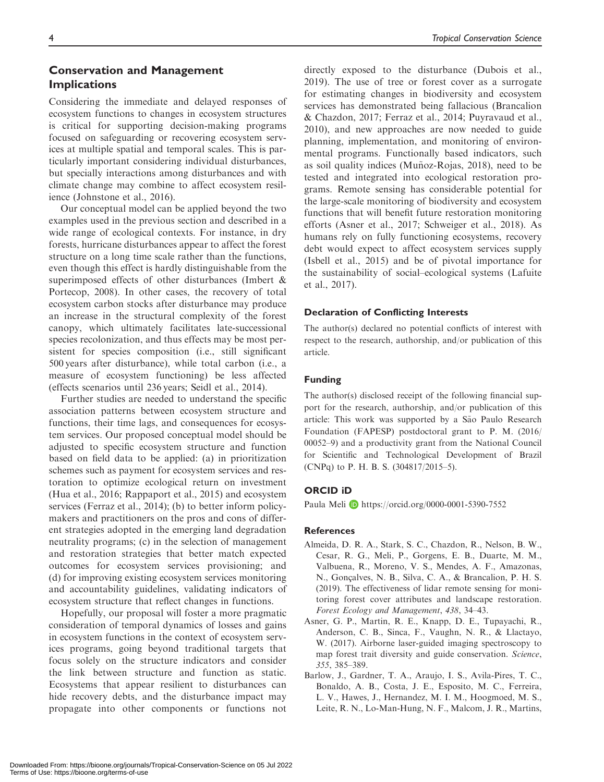## Conservation and Management Implications

Considering the immediate and delayed responses of ecosystem functions to changes in ecosystem structures is critical for supporting decision-making programs focused on safeguarding or recovering ecosystem services at multiple spatial and temporal scales. This is particularly important considering individual disturbances, but specially interactions among disturbances and with climate change may combine to affect ecosystem resilience (Johnstone et al., 2016).

Our conceptual model can be applied beyond the two examples used in the previous section and described in a wide range of ecological contexts. For instance, in dry forests, hurricane disturbances appear to affect the forest structure on a long time scale rather than the functions, even though this effect is hardly distinguishable from the superimposed effects of other disturbances (Imbert & Portecop, 2008). In other cases, the recovery of total ecosystem carbon stocks after disturbance may produce an increase in the structural complexity of the forest canopy, which ultimately facilitates late-successional species recolonization, and thus effects may be most persistent for species composition (i.e., still significant 500 years after disturbance), while total carbon (i.e., a measure of ecosystem functioning) be less affected (effects scenarios until 236 years; Seidl et al., 2014).

Further studies are needed to understand the specific association patterns between ecosystem structure and functions, their time lags, and consequences for ecosystem services. Our proposed conceptual model should be adjusted to specific ecosystem structure and function based on field data to be applied: (a) in prioritization schemes such as payment for ecosystem services and restoration to optimize ecological return on investment (Hua et al., 2016; Rappaport et al., 2015) and ecosystem services (Ferraz et al., 2014); (b) to better inform policymakers and practitioners on the pros and cons of different strategies adopted in the emerging land degradation neutrality programs; (c) in the selection of management and restoration strategies that better match expected outcomes for ecosystem services provisioning; and (d) for improving existing ecosystem services monitoring and accountability guidelines, validating indicators of ecosystem structure that reflect changes in functions.

Hopefully, our proposal will foster a more pragmatic consideration of temporal dynamics of losses and gains in ecosystem functions in the context of ecosystem services programs, going beyond traditional targets that focus solely on the structure indicators and consider the link between structure and function as static. Ecosystems that appear resilient to disturbances can hide recovery debts, and the disturbance impact may propagate into other components or functions not directly exposed to the disturbance (Dubois et al., 2019). The use of tree or forest cover as a surrogate for estimating changes in biodiversity and ecosystem services has demonstrated being fallacious (Brancalion & Chazdon, 2017; Ferraz et al., 2014; Puyravaud et al., 2010), and new approaches are now needed to guide planning, implementation, and monitoring of environmental programs. Functionally based indicators, such as soil quality indices (Munoz-Rojas,  $2018$ ), need to be tested and integrated into ecological restoration programs. Remote sensing has considerable potential for the large-scale monitoring of biodiversity and ecosystem functions that will benefit future restoration monitoring efforts (Asner et al., 2017; Schweiger et al., 2018). As humans rely on fully functioning ecosystems, recovery debt would expect to affect ecosystem services supply (Isbell et al., 2015) and be of pivotal importance for the sustainability of social–ecological systems (Lafuite et al., 2017).

## Declaration of Conflicting Interests

The author(s) declared no potential conflicts of interest with respect to the research, authorship, and/or publication of this article.

## Funding

The author(s) disclosed receipt of the following financial support for the research, authorship, and/or publication of this article: This work was supported by a São Paulo Research Foundation (FAPESP) postdoctoral grant to P. M. (2016/ 00052–9) and a productivity grant from the National Council for Scientific and Technological Development of Brazil (CNPq) to P. H. B. S. (304817/2015–5).

## ORCID iD

Paula Meli D <https://orcid.org/0000-0001-5390-7552>

#### References

- Almeida, D. R. A., Stark, S. C., Chazdon, R., Nelson, B. W., Cesar, R. G., Meli, P., Gorgens, E. B., Duarte, M. M., Valbuena, R., Moreno, V. S., Mendes, A. F., Amazonas, N., Gonçalves, N. B., Silva, C. A., & Brancalion, P. H. S. (2019). The effectiveness of lidar remote sensing for monitoring forest cover attributes and landscape restoration. Forest Ecology and Management, 438, 34–43.
- Asner, G. P., Martin, R. E., Knapp, D. E., Tupayachi, R., Anderson, C. B., Sinca, F., Vaughn, N. R., & Llactayo, W. (2017). Airborne laser-guided imaging spectroscopy to map forest trait diversity and guide conservation. Science, 355, 385–389.
- Barlow, J., Gardner, T. A., Araujo, I. S., Avila-Pires, T. C., Bonaldo, A. B., Costa, J. E., Esposito, M. C., Ferreira, L. V., Hawes, J., Hernandez, M. I. M., Hoogmoed, M. S., Leite, R. N., Lo-Man-Hung, N. F., Malcom, J. R., Martins,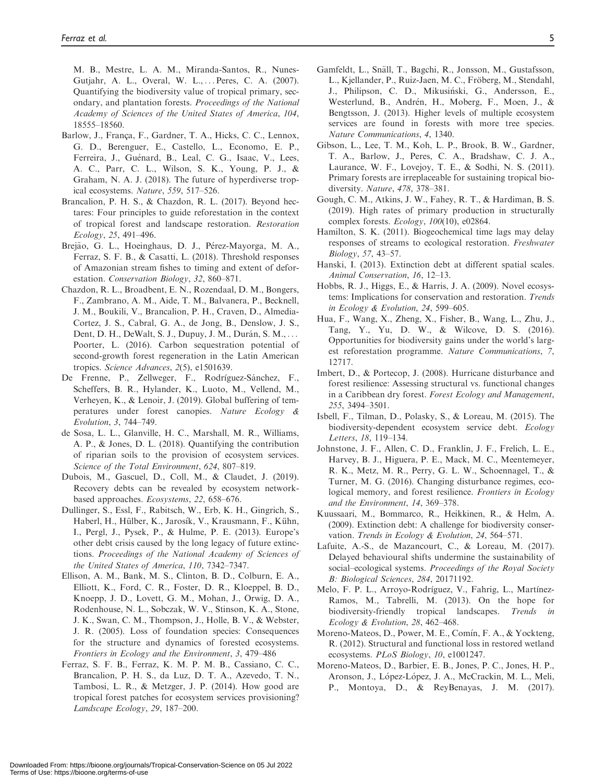M. B., Mestre, L. A. M., Miranda-Santos, R., Nunes-Gutjahr, A. L., Overal, W. L., ... Peres, C. A. (2007). Quantifying the biodiversity value of tropical primary, secondary, and plantation forests. Proceedings of the National Academy of Sciences of the United States of America, 104, 18555–18560.

- Barlow, J., França, F., Gardner, T. A., Hicks, C. C., Lennox, G. D., Berenguer, E., Castello, L., Economo, E. P., Ferreira, J., Guénard, B., Leal, C. G., Isaac, V., Lees, A. C., Parr, C. L., Wilson, S. K., Young, P. J., & Graham, N. A. J. (2018). The future of hyperdiverse tropical ecosystems. Nature, 559, 517–526.
- Brancalion, P. H. S., & Chazdon, R. L. (2017). Beyond hectares: Four principles to guide reforestation in the context of tropical forest and landscape restoration. Restoration Ecology, 25, 491–496.
- Brejão, G. L., Hoeinghaus, D. J., Pérez-Mayorga, M. A., Ferraz, S. F. B., & Casatti, L. (2018). Threshold responses of Amazonian stream fishes to timing and extent of deforestation. Conservation Biology, 32, 860–871.
- Chazdon, R. L., Broadbent, E. N., Rozendaal, D. M., Bongers, F., Zambrano, A. M., Aide, T. M., Balvanera, P., Becknell, J. M., Boukili, V., Brancalion, P. H., Craven, D., Almedia-Cortez, J. S., Cabral, G. A., de Jong, B., Denslow, J. S., Dent, D. H., DeWalt, S. J., Dupuy, J. M., Durán, S. M., ... Poorter, L. (2016). Carbon sequestration potential of second-growth forest regeneration in the Latin American tropics. Science Advances, 2(5), e1501639.
- De Frenne, P., Zellweger, F., Rodríguez-Sánchez, F., Scheffers, B. R., Hylander, K., Luoto, M., Vellend, M., Verheyen, K., & Lenoir, J. (2019). Global buffering of temperatures under forest canopies. Nature Ecology & Evolution, 3, 744–749.
- de Sosa, L. L., Glanville, H. C., Marshall, M. R., Williams, A. P., & Jones, D. L. (2018). Quantifying the contribution of riparian soils to the provision of ecosystem services. Science of the Total Environment, 624, 807–819.
- Dubois, M., Gascuel, D., Coll, M., & Claudet, J. (2019). Recovery debts can be revealed by ecosystem networkbased approaches. Ecosystems, 22, 658–676.
- Dullinger, S., Essl, F., Rabitsch, W., Erb, K. H., Gingrich, S., Haberl, H., Hülber, K., Jarosík, V., Krausmann, F., Kühn, I., Pergl, J., Pysek, P., & Hulme, P. E. (2013). Europe's other debt crisis caused by the long legacy of future extinctions. Proceedings of the National Academy of Sciences of the United States of America, 110, 7342–7347.
- Ellison, A. M., Bank, M. S., Clinton, B. D., Colburn, E. A., Elliott, K., Ford, C. R., Foster, D. R., Kloeppel, B. D., Knoepp, J. D., Lovett, G. M., Mohan, J., Orwig, D. A., Rodenhouse, N. L., Sobczak, W. V., Stinson, K. A., Stone, J. K., Swan, C. M., Thompson, J., Holle, B. V., & Webster, J. R. (2005). Loss of foundation species: Consequences for the structure and dynamics of forested ecosystems. Frontiers in Ecology and the Environment, 3, 479–486
- Ferraz, S. F. B., Ferraz, K. M. P. M. B., Cassiano, C. C., Brancalion, P. H. S., da Luz, D. T. A., Azevedo, T. N., Tambosi, L. R., & Metzger, J. P. (2014). How good are tropical forest patches for ecosystem services provisioning? Landscape Ecology, 29, 187–200.
- Gamfeldt, L., Snäll, T., Bagchi, R., Jonsson, M., Gustafsson, L., Kjellander, P., Ruiz-Jaen, M. C., Fröberg, M., Stendahl, J., Philipson, C. D., Mikusinski, G., Andersson, E., Westerlund, B., Andrén, H., Moberg, F., Moen, J., & Bengtsson, J. (2013). Higher levels of multiple ecosystem services are found in forests with more tree species. Nature Communications, 4, 1340.
- Gibson, L., Lee, T. M., Koh, L. P., Brook, B. W., Gardner, T. A., Barlow, J., Peres, C. A., Bradshaw, C. J. A., Laurance, W. F., Lovejoy, T. E., & Sodhi, N. S. (2011). Primary forests are irreplaceable for sustaining tropical biodiversity. Nature, 478, 378–381.
- Gough, C. M., Atkins, J. W., Fahey, R. T., & Hardiman, B. S. (2019). High rates of primary production in structurally complex forests.  $Ecology$ ,  $100(10)$ , e02864.
- Hamilton, S. K. (2011). Biogeochemical time lags may delay responses of streams to ecological restoration. Freshwater Biology, 57, 43–57.
- Hanski, I. (2013). Extinction debt at different spatial scales. Animal Conservation, 16, 12–13.
- Hobbs, R. J., Higgs, E., & Harris, J. A. (2009). Novel ecosystems: Implications for conservation and restoration. Trends in Ecology & Evolution, 24, 599–605.
- Hua, F., Wang, X., Zheng, X., Fisher, B., Wang, L., Zhu, J., Tang, Y., Yu, D. W., & Wilcove, D. S. (2016). Opportunities for biodiversity gains under the world's largest reforestation programme. Nature Communications, 7, 12717.
- Imbert, D., & Portecop, J. (2008). Hurricane disturbance and forest resilience: Assessing structural vs. functional changes in a Caribbean dry forest. Forest Ecology and Management, 255, 3494–3501.
- Isbell, F., Tilman, D., Polasky, S., & Loreau, M. (2015). The biodiversity-dependent ecosystem service debt. Ecology Letters, 18, 119–134.
- Johnstone, J. F., Allen, C. D., Franklin, J. F., Frelich, L. E., Harvey, B. J., Higuera, P. E., Mack, M. C., Meentemeyer, R. K., Metz, M. R., Perry, G. L. W., Schoennagel, T., & Turner, M. G. (2016). Changing disturbance regimes, ecological memory, and forest resilience. Frontiers in Ecology and the Environment, 14, 369–378.
- Kuussaari, M., Bommarco, R., Heikkinen, R., & Helm, A. (2009). Extinction debt: A challenge for biodiversity conservation. Trends in Ecology & Evolution, 24, 564–571.
- Lafuite, A.-S., de Mazancourt, C., & Loreau, M. (2017). Delayed behavioural shifts undermine the sustainability of social–ecological systems. Proceedings of the Royal Society B: Biological Sciences, 284, 20171192.
- Melo, F. P. L., Arroyo-Rodríguez, V., Fahrig, L., Martínez-Ramos, M., Tabrelli, M. (2013). On the hope for biodiversity-friendly tropical landscapes. Trends in Ecology & Evolution, 28, 462–468.
- Moreno-Mateos, D., Power, M. E., Comín, F. A., & Yockteng, R. (2012). Structural and functional loss in restored wetland ecosystems. PLoS Biology, 10, e1001247.
- Moreno-Mateos, D., Barbier, E. B., Jones, P. C., Jones, H. P., Aronson, J., López-López, J. A., McCrackin, M. L., Meli, P., Montoya, D., & ReyBenayas, J. M. (2017).